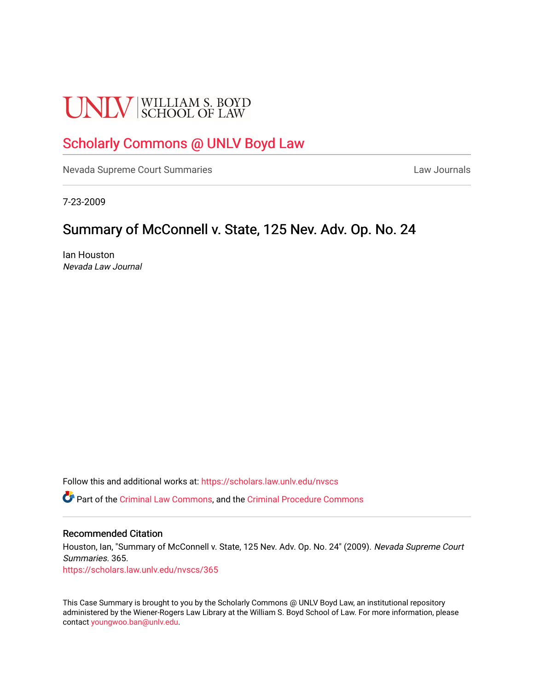# **UNLV** SCHOOL OF LAW

## [Scholarly Commons @ UNLV Boyd Law](https://scholars.law.unlv.edu/)

[Nevada Supreme Court Summaries](https://scholars.law.unlv.edu/nvscs) **Law Journals** Law Journals

7-23-2009

## Summary of McConnell v. State, 125 Nev. Adv. Op. No. 24

Ian Houston Nevada Law Journal

Follow this and additional works at: [https://scholars.law.unlv.edu/nvscs](https://scholars.law.unlv.edu/nvscs?utm_source=scholars.law.unlv.edu%2Fnvscs%2F365&utm_medium=PDF&utm_campaign=PDFCoverPages)

Part of the [Criminal Law Commons,](http://network.bepress.com/hgg/discipline/912?utm_source=scholars.law.unlv.edu%2Fnvscs%2F365&utm_medium=PDF&utm_campaign=PDFCoverPages) and the [Criminal Procedure Commons](http://network.bepress.com/hgg/discipline/1073?utm_source=scholars.law.unlv.edu%2Fnvscs%2F365&utm_medium=PDF&utm_campaign=PDFCoverPages)

#### Recommended Citation

Houston, Ian, "Summary of McConnell v. State, 125 Nev. Adv. Op. No. 24" (2009). Nevada Supreme Court Summaries. 365.

[https://scholars.law.unlv.edu/nvscs/365](https://scholars.law.unlv.edu/nvscs/365?utm_source=scholars.law.unlv.edu%2Fnvscs%2F365&utm_medium=PDF&utm_campaign=PDFCoverPages)

This Case Summary is brought to you by the Scholarly Commons @ UNLV Boyd Law, an institutional repository administered by the Wiener-Rogers Law Library at the William S. Boyd School of Law. For more information, please contact [youngwoo.ban@unlv.edu](mailto:youngwoo.ban@unlv.edu).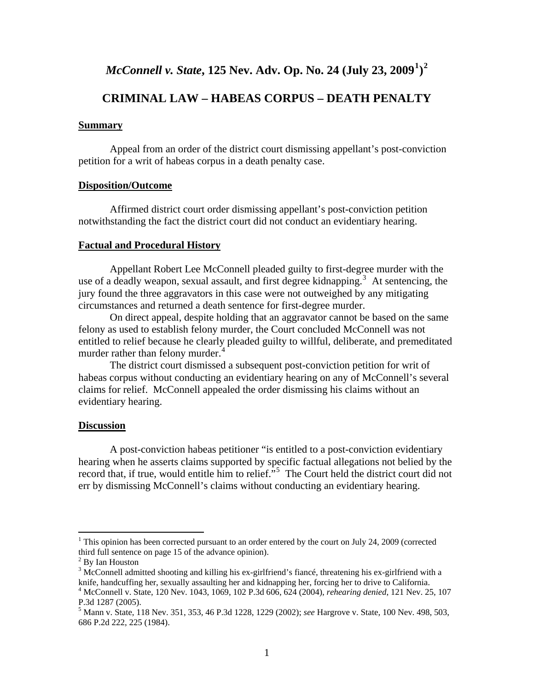### *McConnell v. State***, 125 Nev. Adv. Op. No. 24 (July 23, 2009[1](#page-1-0) ) [2](#page-1-1)**

#### **CRIMINAL LAW – HABEAS CORPUS – DEATH PENALTY**

#### **Summary**

 Appeal from an order of the district court dismissing appellant's post-conviction petition for a writ of habeas corpus in a death penalty case.

#### **Disposition/Outcome**

 Affirmed district court order dismissing appellant's post-conviction petition notwithstanding the fact the district court did not conduct an evidentiary hearing.

#### **Factual and Procedural History**

 Appellant Robert Lee McConnell pleaded guilty to first-degree murder with the use of a deadly weapon, sexual assault, and first degree kidnapping.<sup>[3](#page-1-2)</sup> At sentencing, the jury found the three aggravators in this case were not outweighed by any mitigating circumstances and returned a death sentence for first-degree murder.

 On direct appeal, despite holding that an aggravator cannot be based on the same felony as used to establish felony murder, the Court concluded McConnell was not entitled to relief because he clearly pleaded guilty to willful, deliberate, and premeditated murder rather than felony murder.<sup>[4](#page-1-3)</sup>

 The district court dismissed a subsequent post-conviction petition for writ of habeas corpus without conducting an evidentiary hearing on any of McConnell's several claims for relief. McConnell appealed the order dismissing his claims without an evidentiary hearing.

#### **Discussion**

 A post-conviction habeas petitioner "is entitled to a post-conviction evidentiary hearing when he asserts claims supported by specific factual allegations not belied by the record that, if true, would entitle him to relief."<sup>[5](#page-1-4)</sup> The Court held the district court did not err by dismissing McConnell's claims without conducting an evidentiary hearing.

<span id="page-1-0"></span><sup>&</sup>lt;sup>1</sup> This opinion has been corrected pursuant to an order entered by the court on July 24, 2009 (corrected third full sentence on page 15 of the advance opinion).

<span id="page-1-1"></span><sup>&</sup>lt;sup>2</sup> By Ian Houston

<span id="page-1-2"></span> $3$  McConnell admitted shooting and killing his ex-girlfriend's fiance, threatening his ex-girlfriend with a knife, handcuffing her, sexually assaulting her and kidnapping her, forcing her to drive to California. 4 McConnell v. State, 120 Nev. 1043, 1069, 102 P.3d 606, 624 (2004), *rehearing denied*, 121 Nev. 25, 107 P.3d 1287 (2005).

<span id="page-1-4"></span><span id="page-1-3"></span><sup>5</sup> Mann v. State, 118 Nev. 351, 353, 46 P.3d 1228, 1229 (2002); *see* Hargrove v. State, 100 Nev. 498, 503, 686 P.2d 222, 225 (1984).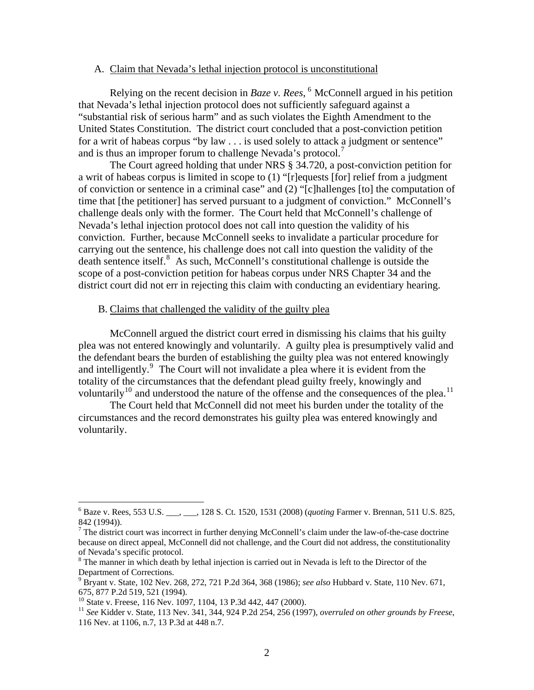#### A. Claim that Nevada's lethal injection protocol is unconstitutional

 Relying on the recent decision in *Baze v. Rees*, [6](#page-2-0) McConnell argued in his petition that Nevada's lethal injection protocol does not sufficiently safeguard against a "substantial risk of serious harm" and as such violates the Eighth Amendment to the United States Constitution. The district court concluded that a post-conviction petition for a writ of habeas corpus "by law . . . is used solely to attack a judgment or sentence" and is thus an improper forum to challenge Nevada's protocol.<sup>[7](#page-2-1)</sup>

 The Court agreed holding that under NRS § 34.720, a post-conviction petition for a writ of habeas corpus is limited in scope to (1) "[r]equests [for] relief from a judgment of conviction or sentence in a criminal case" and (2) "[c]hallenges [to] the computation of time that [the petitioner] has served pursuant to a judgment of conviction." McConnell's challenge deals only with the former. The Court held that McConnell's challenge of Nevada's lethal injection protocol does not call into question the validity of his conviction. Further, because McConnell seeks to invalidate a particular procedure for carrying out the sentence, his challenge does not call into question the validity of the death sentence itself.<sup>[8](#page-2-2)</sup> As such, McConnell's constitutional challenge is outside the scope of a post-conviction petition for habeas corpus under NRS Chapter 34 and the district court did not err in rejecting this claim with conducting an evidentiary hearing.

#### B. Claims that challenged the validity of the guilty plea

 McConnell argued the district court erred in dismissing his claims that his guilty plea was not entered knowingly and voluntarily. A guilty plea is presumptively valid and the defendant bears the burden of establishing the guilty plea was not entered knowingly and intelligently.<sup>[9](#page-2-3)</sup> The Court will not invalidate a plea where it is evident from the totality of the circumstances that the defendant plead guilty freely, knowingly and voluntarily<sup>[10](#page-2-4)</sup> and understood the nature of the offense and the consequences of the plea.<sup>[11](#page-2-5)</sup>

 The Court held that McConnell did not meet his burden under the totality of the circumstances and the record demonstrates his guilty plea was entered knowingly and voluntarily.

<span id="page-2-0"></span><sup>6</sup> Baze v. Rees, 553 U.S. \_\_\_, \_\_\_, 128 S. Ct. 1520, 1531 (2008) (*quoting* Farmer v. Brennan, 511 U.S. 825, 842 (1994)).

<span id="page-2-1"></span> $7$  The district court was incorrect in further denying McConnell's claim under the law-of-the-case doctrine because on direct appeal, McConnell did not challenge, and the Court did not address, the constitutionality of Nevada's specific protocol.

<span id="page-2-2"></span><sup>&</sup>lt;sup>8</sup> The manner in which death by lethal injection is carried out in Nevada is left to the Director of the Department of Corrections.

<span id="page-2-3"></span><sup>9</sup> Bryant v. State, 102 Nev. 268, 272, 721 P.2d 364, 368 (1986); *see also* Hubbard v. State, 110 Nev. 671, 675, 877 P.2d 519, 521 (1994).

<sup>&</sup>lt;sup>10</sup> State v. Freese, 116 Nev. 1097, 1104, 13 P.3d 442, 447 (2000).

<span id="page-2-5"></span><span id="page-2-4"></span><sup>11</sup> *See* Kidder v. State, 113 Nev. 341, 344, 924 P.2d 254, 256 (1997), *overruled on other grounds by Freese*, 116 Nev. at 1106, n.7, 13 P.3d at 448 n.7.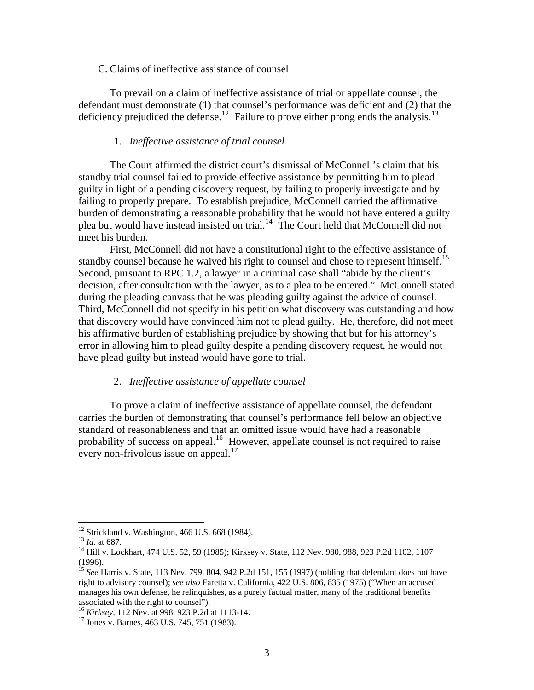#### C. Claims of ineffective assistance of counsel

To prevail on a claim of ineffective assistance of trial or appellate counsel, the defendant must demonstrate (1) that counsel's performance was deficient and (2) that the deficiency prejudiced the defense.<sup>[12](#page-3-0)</sup> Failure to prove either prong ends the analysis.<sup>[13](#page-3-1)</sup>

#### 1. *Ineffective assistance of trial counsel*

 The Court affirmed the district court's dismissal of McConnell's claim that his standby trial counsel failed to provide effective assistance by permitting him to plead guilty in light of a pending discovery request, by failing to properly investigate and by failing to properly prepare. To establish prejudice, McConnell carried the affirmative burden of demonstrating a reasonable probability that he would not have entered a guilty plea but would have instead insisted on trial.<sup>[14](#page-3-2)</sup> The Court held that McConnell did not meet his burden.

First, McConnell did not have a constitutional right to the effective assistance of standby counsel because he waived his right to counsel and chose to represent himself.<sup>[15](#page-3-3)</sup> Second, pursuant to RPC 1.2, a lawyer in a criminal case shall "abide by the client's decision, after consultation with the lawyer, as to a plea to be entered." McConnell stated during the pleading canvass that he was pleading guilty against the advice of counsel. Third, McConnell did not specify in his petition what discovery was outstanding and how that discovery would have convinced him not to plead guilty. He, therefore, did not meet his affirmative burden of establishing prejudice by showing that but for his attorney's error in allowing him to plead guilty despite a pending discovery request, he would not have plead guilty but instead would have gone to trial.

#### 2. *Ineffective assistance of appellate counsel*

 To prove a claim of ineffective assistance of appellate counsel, the defendant carries the burden of demonstrating that counsel's performance fell below an objective standard of reasonableness and that an omitted issue would have had a reasonable probability of success on appeal.<sup>[16](#page-3-4)</sup> However, appellate counsel is not required to raise every non-frivolous issue on appeal. $17$ 

<span id="page-3-0"></span><sup>&</sup>lt;sup>12</sup> Strickland v. Washington, 466 U.S. 668 (1984).<br><sup>13</sup> *Id.* at 687.

<span id="page-3-2"></span><span id="page-3-1"></span><sup>&</sup>lt;sup>14</sup> Hill v. Lockhart, 474 U.S. 52, 59 (1985); Kirksey v. State, 112 Nev. 980, 988, 923 P.2d 1102, 1107 (1996).

<span id="page-3-3"></span><sup>&</sup>lt;sup>15</sup> See Harris v. State, 113 Nev. 799, 804, 942 P.2d 151, 155 (1997) (holding that defendant does not have right to advisory counsel); *see also* Faretta v. California, 422 U.S. 806, 835 (1975) ("When an accused manages his own defense, he relinquishes, as a purely factual matter, many of the traditional benefits associated with the right to counsel"). 16 *Kirksey*, 112 Nev. at 998, 923 P.2d at 1113-14. 17 Jones v. Barnes, 463 U.S. 745, 751 (1983).

<span id="page-3-4"></span>

<span id="page-3-5"></span>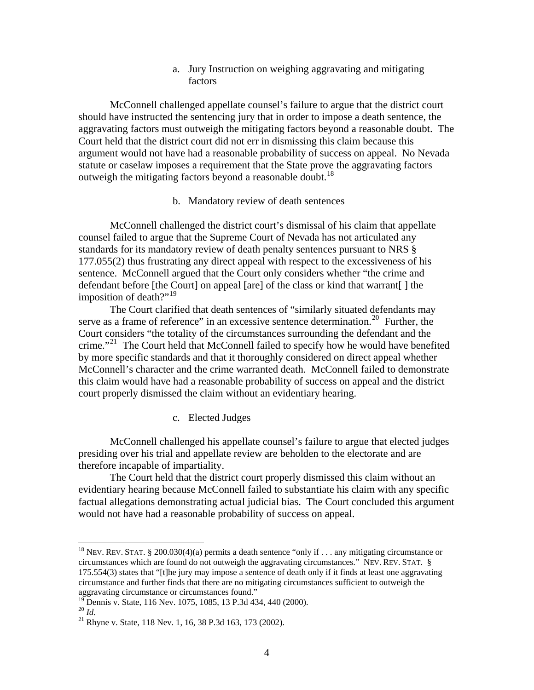a. Jury Instruction on weighing aggravating and mitigating factors

 McConnell challenged appellate counsel's failure to argue that the district court should have instructed the sentencing jury that in order to impose a death sentence, the aggravating factors must outweigh the mitigating factors beyond a reasonable doubt. The Court held that the district court did not err in dismissing this claim because this argument would not have had a reasonable probability of success on appeal. No Nevada statute or caselaw imposes a requirement that the State prove the aggravating factors outweigh the mitigating factors beyond a reasonable doubt.<sup>[18](#page-4-0)</sup>

#### b. Mandatory review of death sentences

 McConnell challenged the district court's dismissal of his claim that appellate counsel failed to argue that the Supreme Court of Nevada has not articulated any standards for its mandatory review of death penalty sentences pursuant to NRS § 177.055(2) thus frustrating any direct appeal with respect to the excessiveness of his sentence. McConnell argued that the Court only considers whether "the crime and defendant before [the Court] on appeal [are] of the class or kind that warrant[ ] the imposition of death?"<sup>[19](#page-4-1)</sup>

The Court clarified that death sentences of "similarly situated defendants may serve as a frame of reference" in an excessive sentence determination.<sup>[20](#page-4-2)</sup> Further, the Court considers "the totality of the circumstances surrounding the defendant and the crime."<sup>[21](#page-4-3)</sup> The Court held that McConnell failed to specify how he would have benefited by more specific standards and that it thoroughly considered on direct appeal whether McConnell's character and the crime warranted death. McConnell failed to demonstrate this claim would have had a reasonable probability of success on appeal and the district court properly dismissed the claim without an evidentiary hearing.

#### c. Elected Judges

 McConnell challenged his appellate counsel's failure to argue that elected judges presiding over his trial and appellate review are beholden to the electorate and are therefore incapable of impartiality.

 The Court held that the district court properly dismissed this claim without an evidentiary hearing because McConnell failed to substantiate his claim with any specific factual allegations demonstrating actual judicial bias. The Court concluded this argument would not have had a reasonable probability of success on appeal.

<span id="page-4-0"></span><sup>&</sup>lt;sup>18</sup> NEV. REV. STAT. § 200.030(4)(a) permits a death sentence "only if . . . any mitigating circumstance or circumstances which are found do not outweigh the aggravating circumstances." NEV. REV. STAT. § 175.554(3) states that "[t]he jury may impose a sentence of death only if it finds at least one aggravating circumstance and further finds that there are no mitigating circumstances sufficient to outweigh the aggravating circumstance or circumstances found."

<span id="page-4-1"></span><sup>&</sup>lt;sup>19</sup> Dennis v. State, 116 Nev. 1075, 1085, 13 P.3d 434, 440 (2000).

<span id="page-4-3"></span><span id="page-4-2"></span><sup>&</sup>lt;sup>20</sup> *Id.* <sup>21</sup> Rhyne v. State, 118 Nev. 1, 16, 38 P.3d 163, 173 (2002).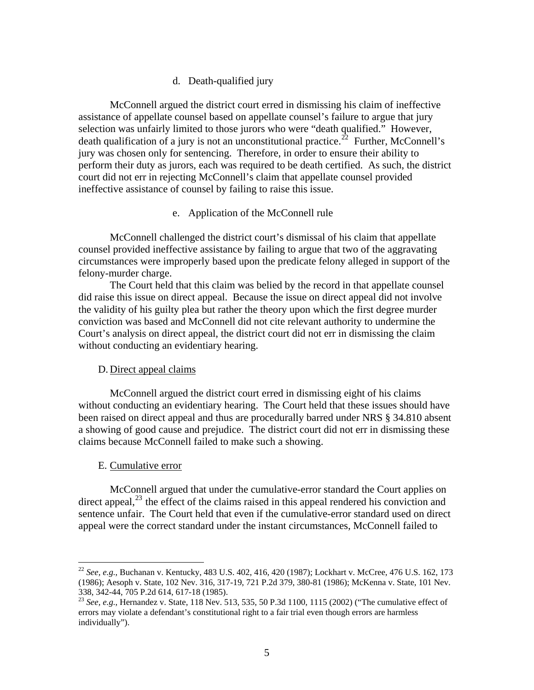#### d. Death-qualified jury

 McConnell argued the district court erred in dismissing his claim of ineffective assistance of appellate counsel based on appellate counsel's failure to argue that jury selection was unfairly limited to those jurors who were "death qualified." However, death qualification of a jury is not an unconstitutional practice.<sup>[22](#page-5-0)</sup> Further, McConnell's jury was chosen only for sentencing. Therefore, in order to ensure their ability to perform their duty as jurors, each was required to be death certified. As such, the district court did not err in rejecting McConnell's claim that appellate counsel provided ineffective assistance of counsel by failing to raise this issue.

#### e. Application of the McConnell rule

 McConnell challenged the district court's dismissal of his claim that appellate counsel provided ineffective assistance by failing to argue that two of the aggravating circumstances were improperly based upon the predicate felony alleged in support of the felony-murder charge.

 The Court held that this claim was belied by the record in that appellate counsel did raise this issue on direct appeal. Because the issue on direct appeal did not involve the validity of his guilty plea but rather the theory upon which the first degree murder conviction was based and McConnell did not cite relevant authority to undermine the Court's analysis on direct appeal, the district court did not err in dismissing the claim without conducting an evidentiary hearing.

#### D. Direct appeal claims

 McConnell argued the district court erred in dismissing eight of his claims without conducting an evidentiary hearing. The Court held that these issues should have been raised on direct appeal and thus are procedurally barred under NRS § 34.810 absent a showing of good cause and prejudice. The district court did not err in dismissing these claims because McConnell failed to make such a showing.

#### E. Cumulative error

 $\overline{a}$ 

 McConnell argued that under the cumulative-error standard the Court applies on direct appeal,  $^{23}$  $^{23}$  $^{23}$  the effect of the claims raised in this appeal rendered his conviction and sentence unfair. The Court held that even if the cumulative-error standard used on direct appeal were the correct standard under the instant circumstances, McConnell failed to

<span id="page-5-0"></span><sup>22</sup> *See, e.g.*, Buchanan v. Kentucky, 483 U.S. 402, 416, 420 (1987); Lockhart v. McCree, 476 U.S. 162, 173 (1986); Aesoph v. State, 102 Nev. 316, 317-19, 721 P.2d 379, 380-81 (1986); McKenna v. State, 101 Nev. 338, 342-44, 705 P.2d 614, 617-18 (1985).

<span id="page-5-1"></span><sup>23</sup> *See, e.g.*, Hernandez v. State, 118 Nev. 513, 535, 50 P.3d 1100, 1115 (2002) ("The cumulative effect of errors may violate a defendant's constitutional right to a fair trial even though errors are harmless individually").